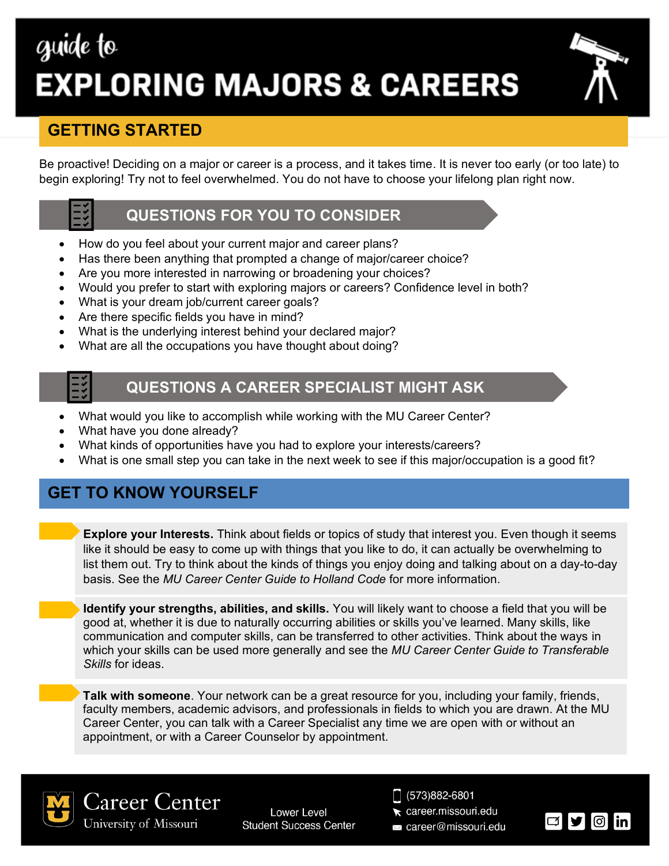# guide to **EXPLORING MAJORS & CAREERS**

# **GETTING STARTED**

Be proactive! Deciding on a major or career is a process, and it takes time. It is never too early (or too late) to begin exploring! Try not to feel overwhelmed. You do not have to choose your lifelong plan right now.

## **QUESTIONS FOR YOU TO CONSIDER**

- How do you feel about your current major and career plans?
- Has there been anything that prompted a change of major/career choice?
- Are you more interested in narrowing or broadening your choices?
- Would you prefer to start with exploring majors or careers? Confidence level in both?
- What is your dream job/current career goals?
- Are there specific fields you have in mind?
- What is the underlying interest behind your declared major?
- What are all the occupations you have thought about doing?

### **QUESTIONS A CAREER SPECIALIST MIGHT ASK**

- What would you like to accomplish while working with the MU Career Center?
- What have you done already?
- What kinds of opportunities have you had to explore your interests/careers?
- What is one small step you can take in the next week to see if this major/occupation is a good fit?

# **GET TO KNOW YOURSELF**

**Explore your Interests.** Think about fields or topics of study that interest you. Even though it seems like it should be easy to come up with things that you like to do, it can actually be overwhelming to list them out. Try to think about the kinds of things you enjoy doing and talking about on a day-to-day basis. See the *MU Career Center Guide to Holland Code* for more information.

**Identify your strengths, abilities, and skills.** You will likely want to choose a field that you will be good at, whether it is due to naturally occurring abilities or skills you've learned. Many skills, like communication and computer skills, can be transferred to other activities. Think about the ways in which your skills can be used more generally and see the *MU Career Center Guide to Transferable Skills* for ideas.

**Talk with someone**. Your network can be a great resource for you, including your family, friends, faculty members, academic advisors, and professionals in fields to which you are drawn. At the MU Career Center, you can talk with a Career Specialist any time we are open with or without an appointment, or with a Career Counselor by appointment.



Career Center University of Missouri

**Lower Level Student Success Center**   $\Box$  (573)882-6801

- career.missouri.edu
- a career@missouri.edu

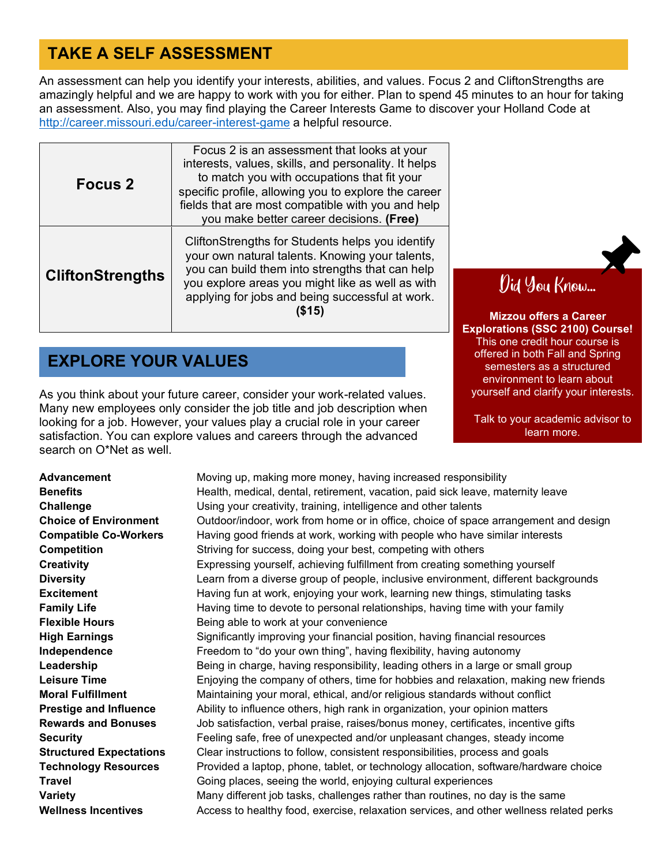# **TAKE A SELF ASSESSMENT**

An assessment can help you identify your interests, abilities, and values. Focus 2 and CliftonStrengths are amazingly helpful and we are happy to work with you for either. Plan to spend 45 minutes to an hour for taking an assessment. Also, you may find playing the Career Interests Game to discover your Holland Code at <http://career.missouri.edu/career-interest-game> a helpful resource.

| <b>Focus 2</b>          | Focus 2 is an assessment that looks at your<br>interests, values, skills, and personality. It helps<br>to match you with occupations that fit your<br>specific profile, allowing you to explore the career<br>fields that are most compatible with you and help<br>you make better career decisions. (Free) |
|-------------------------|-------------------------------------------------------------------------------------------------------------------------------------------------------------------------------------------------------------------------------------------------------------------------------------------------------------|
| <b>CliftonStrengths</b> | CliftonStrengths for Students helps you identify<br>your own natural talents. Knowing your talents,<br>you can build them into strengths that can help<br>you explore areas you might like as well as with<br>applying for jobs and being successful at work.<br>(S15)                                      |

# **EXPLORE YOUR VALUES**

As you think about your future career, consider your work-related values. Many new employees only consider the job title and job description when looking for a job. However, your values play a crucial role in your career satisfaction. You can explore values and careers through the advanced search on O\*Net as well.



**Mizzou offers a Career Explorations (SSC 2100) Course!** This one credit hour course is offered in both Fall and Spring semesters as a structured environment to learn about yourself and clarify your interests.

Talk to your academic advisor to learn more.

**Advancement** Moving up, making more money, having increased responsibility **Benefits Health, medical, dental, retirement, vacation, paid sick leave, maternity leave Challenge** Using your creativity, training, intelligence and other talents **Choice of Environment** Outdoor/indoor, work from home or in office, choice of space arrangement and design **Compatible Co-Workers** Having good friends at work, working with people who have similar interests **Competition** Striving for success, doing your best, competing with others **Creativity** Expressing yourself, achieving fulfillment from creating something yourself **Diversity** Learn from a diverse group of people, inclusive environment, different backgrounds **Excitement Having fun at work, enjoying your work, learning new things, stimulating tasks Family Life Having time to devote to personal relationships, having time with your family Flexible Hours** Being able to work at your convenience **High Earnings** Significantly improving your financial position, having financial resources **Independence** Freedom to "do your own thing", having flexibility, having autonomy **Leadership** Being in charge, having responsibility, leading others in a large or small group **Leisure Time** Enjoying the company of others, time for hobbies and relaxation, making new friends **Moral Fulfillment** Maintaining your moral, ethical, and/or religious standards without conflict **Prestige and Influence** Ability to influence others, high rank in organization, your opinion matters **Rewards and Bonuses** Job satisfaction, verbal praise, raises/bonus money, certificates, incentive gifts **Security** Feeling safe, free of unexpected and/or unpleasant changes, steady income **Structured Expectations** Clear instructions to follow, consistent responsibilities, process and goals **Technology Resources** Provided a laptop, phone, tablet, or technology allocation, software/hardware choice **Travel Example 2** Going places, seeing the world, enjoying cultural experiences **Variety** Many different job tasks, challenges rather than routines, no day is the same **Wellness Incentives** Access to healthy food, exercise, relaxation services, and other wellness related perks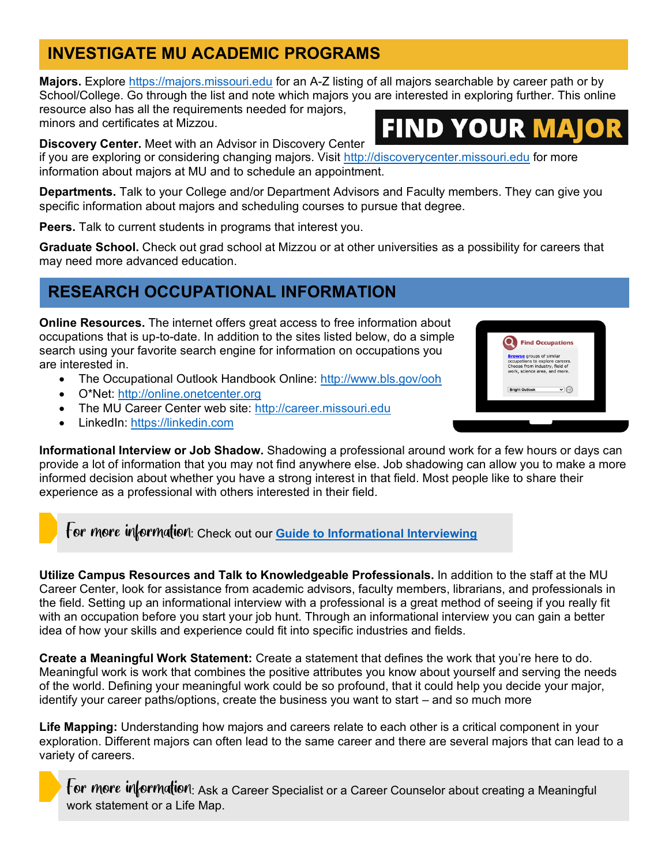# **INVESTIGATE MU ACADEMIC PROGRAMS**

**Majors.** Explore [https://majors.missouri.edu](https://majors.missouri.edu/) for an A-Z listing of all majors searchable by career path or by School/College. Go through the list and note which majors you are interested in exploring further. This online resource also has all the requirements needed for majors,

minors and certificates at Mizzou.

# **FIND YOUR M.**

**Discovery Center.** Meet with an Advisor in Discovery Center

if you are exploring or considering changing majors. Visit [http://discoverycenter.missouri.edu](http://discoverycenter.missouri.edu/) for more information about majors at MU and to schedule an appointment.

**Departments.** Talk to your College and/or Department Advisors and Faculty members. They can give you specific information about majors and scheduling courses to pursue that degree.

**Peers.** Talk to current students in programs that interest you.

**Graduate School.** Check out grad school at Mizzou or at other universities as a possibility for careers that may need more advanced education.

# **RESEARCH OCCUPATIONAL INFORMATION**

**Online Resources.** The internet offers great access to free information about occupations that is up-to-date. In addition to the sites listed below, do a simple search using your favorite search engine for information on occupations you are interested in.

- The Occupational Outlook Handbook Online: http://www.bls.gov/ooh
- O\*Net: [http://online.onetcenter.org](http://online.onetcenter.org/)
- The MU Career Center web site: [http://career.missouri.edu](http://career.missouri.edu/)
- LinkedIn: [https://linkedin.com](https://linkedin.com/)



**Informational Interview or Job Shadow.** Shadowing a professional around work for a few hours or days can provide a lot of information that you may not find anywhere else. Job shadowing can allow you to make a more informed decision about whether you have a strong interest in that field. Most people like to share their experience as a professional with others interested in their field.

For *more information*: Check out our **[Guide to Informational Interviewing](https://mizzoucareertools.campuscareerinnovations.com/resources/mucc-quick-tips-job-shadowing-and-informational-interviewing/)** 

**Utilize Campus Resources and Talk to Knowledgeable Professionals.** In addition to the staff at the MU Career Center, look for assistance from academic advisors, faculty members, librarians, and professionals in the field. Setting up an informational interview with a professional is a great method of seeing if you really fit with an occupation before you start your job hunt. Through an informational interview you can gain a better idea of how your skills and experience could fit into specific industries and fields.

**Create a Meaningful Work Statement:** Create a statement that defines the work that you're here to do. Meaningful work is work that combines the positive attributes you know about yourself and serving the needs of the world. Defining your meaningful work could be so profound, that it could help you decide your major, identify your career paths/options, create the business you want to start – and so much more

**Life Mapping:** Understanding how majors and careers relate to each other is a critical component in your exploration. Different majors can often lead to the same career and there are several majors that can lead to a variety of careers.



For more information: Ask a Career Specialist or a Career Counselor about creating a Meaningful work statement or a Life Map.